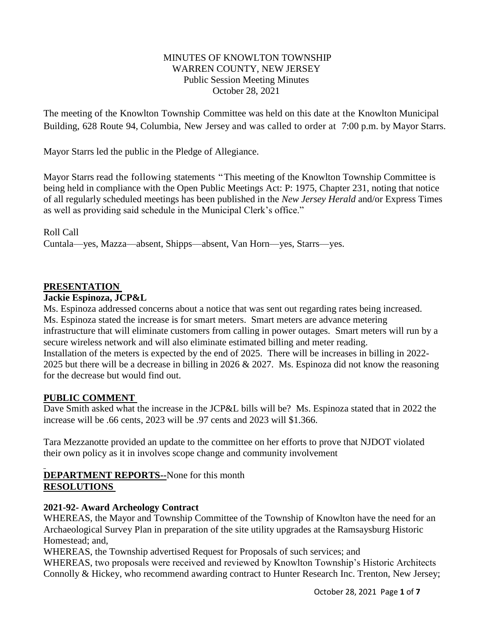### MINUTES OF KNOWLTON TOWNSHIP WARREN COUNTY, NEW JERSEY Public Session Meeting Minutes October 28, 2021

The meeting of the Knowlton Township Committee was held on this date at the Knowlton Municipal Building, 628 Route 94, Columbia, New Jersey and was called to order at 7:00 p.m. by Mayor Starrs.

Mayor Starrs led the public in the Pledge of Allegiance.

Mayor Starrs read the following statements "This meeting of the Knowlton Township Committee is being held in compliance with the Open Public Meetings Act: P: 1975, Chapter 231, noting that notice of all regularly scheduled meetings has been published in the *New Jersey Herald* and/or Express Times as well as providing said schedule in the Municipal Clerk's office."

#### Roll Call

Cuntala—yes, Mazza—absent, Shipps—absent, Van Horn—yes, Starrs—yes.

### **PRESENTATION**

#### **Jackie Espinoza, JCP&L**

Ms. Espinoza addressed concerns about a notice that was sent out regarding rates being increased. Ms. Espinoza stated the increase is for smart meters. Smart meters are advance metering infrastructure that will eliminate customers from calling in power outages. Smart meters will run by a secure wireless network and will also eliminate estimated billing and meter reading. Installation of the meters is expected by the end of 2025. There will be increases in billing in 2022- 2025 but there will be a decrease in billing in 2026 & 2027. Ms. Espinoza did not know the reasoning for the decrease but would find out.

#### **PUBLIC COMMENT**

Dave Smith asked what the increase in the JCP&L bills will be? Ms. Espinoza stated that in 2022 the increase will be .66 cents, 2023 will be .97 cents and 2023 will \$1.366.

Tara Mezzanotte provided an update to the committee on her efforts to prove that NJDOT violated their own policy as it in involves scope change and community involvement

## **DEPARTMENT REPORTS--**None for this month **RESOLUTIONS**

## **2021-92- Award Archeology Contract**

WHEREAS, the Mayor and Township Committee of the Township of Knowlton have the need for an Archaeological Survey Plan in preparation of the site utility upgrades at the Ramsaysburg Historic Homestead; and,

WHEREAS, the Township advertised Request for Proposals of such services; and

WHEREAS, two proposals were received and reviewed by Knowlton Township's Historic Architects Connolly & Hickey, who recommend awarding contract to Hunter Research Inc. Trenton, New Jersey;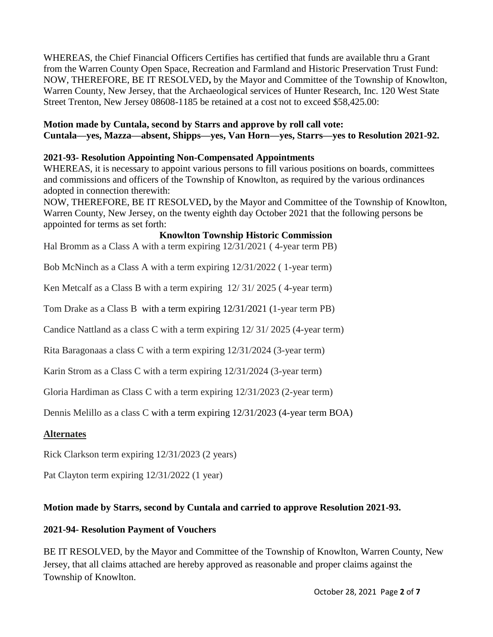WHEREAS, the Chief Financial Officers Certifies has certified that funds are available thru a Grant from the Warren County Open Space, Recreation and Farmland and Historic Preservation Trust Fund: NOW, THEREFORE, BE IT RESOLVED**,** by the Mayor and Committee of the Township of Knowlton, Warren County, New Jersey, that the Archaeological services of Hunter Research, Inc. 120 West State Street Trenton, New Jersey 08608-1185 be retained at a cost not to exceed \$58,425.00:

**Motion made by Cuntala, second by Starrs and approve by roll call vote: Cuntala—yes, Mazza—absent, Shipps—yes, Van Horn—yes, Starrs—yes to Resolution 2021-92.**

### **2021-93- Resolution Appointing Non-Compensated Appointments**

WHEREAS, it is necessary to appoint various persons to fill various positions on boards, committees and commissions and officers of the Township of Knowlton, as required by the various ordinances adopted in connection therewith:

NOW, THEREFORE, BE IT RESOLVED**,** by the Mayor and Committee of the Township of Knowlton, Warren County, New Jersey, on the twenty eighth day October 2021 that the following persons be appointed for terms as set forth:

#### **Knowlton Township Historic Commission**

Hal Bromm as a Class A with a term expiring 12/31/2021 ( 4-year term PB)

Bob McNinch as a Class A with a term expiring 12/31/2022 ( 1-year term)

Ken Metcalf as a Class B with a term expiring 12/ 31/ 2025 ( 4-year term)

Tom Drake as a Class B with a term expiring 12/31/2021 (1-year term PB)

Candice Nattland as a class C with a term expiring 12/ 31/ 2025 (4-year term)

Rita Baragonaas a class C with a term expiring 12/31/2024 (3-year term)

Karin Strom as a Class C with a term expiring 12/31/2024 (3-year term)

Gloria Hardiman as Class C with a term expiring 12/31/2023 (2-year term)

Dennis Melillo as a class C with a term expiring 12/31/2023 (4-year term BOA)

#### **Alternates**

Rick Clarkson term expiring 12/31/2023 (2 years)

Pat Clayton term expiring 12/31/2022 (1 year)

#### **Motion made by Starrs, second by Cuntala and carried to approve Resolution 2021-93.**

#### **2021-94- Resolution Payment of Vouchers**

BE IT RESOLVED, by the Mayor and Committee of the Township of Knowlton, Warren County, New Jersey, that all claims attached are hereby approved as reasonable and proper claims against the Township of Knowlton.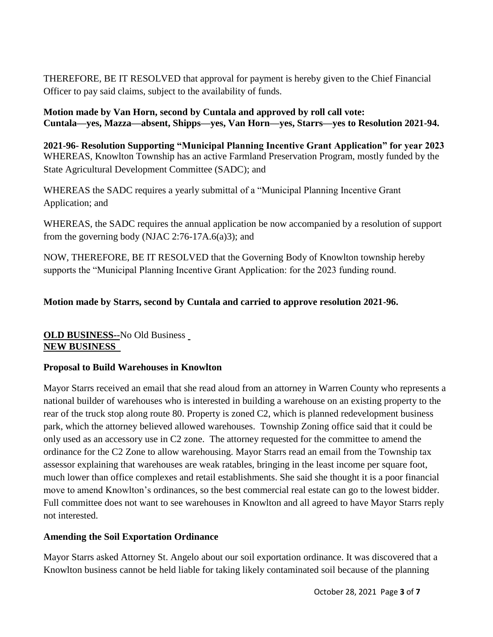THEREFORE, BE IT RESOLVED that approval for payment is hereby given to the Chief Financial Officer to pay said claims, subject to the availability of funds.

**Motion made by Van Horn, second by Cuntala and approved by roll call vote: Cuntala—yes, Mazza—absent, Shipps—yes, Van Horn—yes, Starrs—yes to Resolution 2021-94.**

**2021-96- Resolution Supporting "Municipal Planning Incentive Grant Application" for year 2023** WHEREAS, Knowlton Township has an active Farmland Preservation Program, mostly funded by the State Agricultural Development Committee (SADC); and

WHEREAS the SADC requires a yearly submittal of a "Municipal Planning Incentive Grant Application; and

WHEREAS, the SADC requires the annual application be now accompanied by a resolution of support from the governing body (NJAC 2:76-17A.6(a)3); and

NOW, THEREFORE, BE IT RESOLVED that the Governing Body of Knowlton township hereby supports the "Municipal Planning Incentive Grant Application: for the 2023 funding round.

# **Motion made by Starrs, second by Cuntala and carried to approve resolution 2021-96.**

# **OLD BUSINESS--**No Old Business **NEW BUSINESS**

## **Proposal to Build Warehouses in Knowlton**

Mayor Starrs received an email that she read aloud from an attorney in Warren County who represents a national builder of warehouses who is interested in building a warehouse on an existing property to the rear of the truck stop along route 80. Property is zoned C2, which is planned redevelopment business park, which the attorney believed allowed warehouses. Township Zoning office said that it could be only used as an accessory use in C2 zone. The attorney requested for the committee to amend the ordinance for the C2 Zone to allow warehousing. Mayor Starrs read an email from the Township tax assessor explaining that warehouses are weak ratables, bringing in the least income per square foot, much lower than office complexes and retail establishments. She said she thought it is a poor financial move to amend Knowlton's ordinances, so the best commercial real estate can go to the lowest bidder. Full committee does not want to see warehouses in Knowlton and all agreed to have Mayor Starrs reply not interested.

## **Amending the Soil Exportation Ordinance**

Mayor Starrs asked Attorney St. Angelo about our soil exportation ordinance. It was discovered that a Knowlton business cannot be held liable for taking likely contaminated soil because of the planning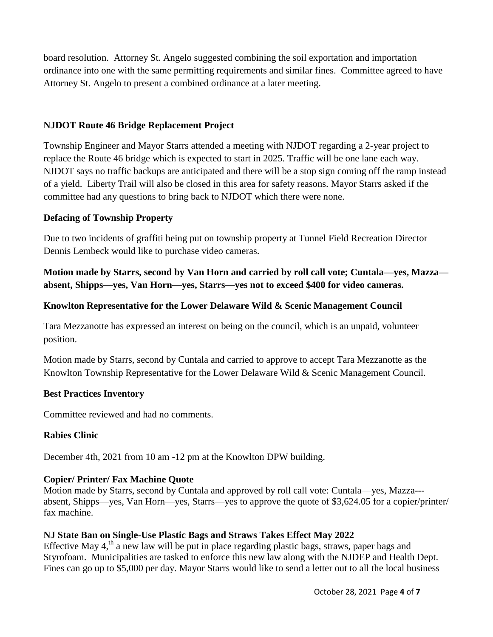board resolution. Attorney St. Angelo suggested combining the soil exportation and importation ordinance into one with the same permitting requirements and similar fines. Committee agreed to have Attorney St. Angelo to present a combined ordinance at a later meeting.

## **NJDOT Route 46 Bridge Replacement Project**

Township Engineer and Mayor Starrs attended a meeting with NJDOT regarding a 2-year project to replace the Route 46 bridge which is expected to start in 2025. Traffic will be one lane each way. NJDOT says no traffic backups are anticipated and there will be a stop sign coming off the ramp instead of a yield. Liberty Trail will also be closed in this area for safety reasons. Mayor Starrs asked if the committee had any questions to bring back to NJDOT which there were none.

## **Defacing of Township Property**

Due to two incidents of graffiti being put on township property at Tunnel Field Recreation Director Dennis Lembeck would like to purchase video cameras.

**Motion made by Starrs, second by Van Horn and carried by roll call vote; Cuntala—yes, Mazza absent, Shipps—yes, Van Horn—yes, Starrs—yes not to exceed \$400 for video cameras.** 

# **Knowlton Representative for the Lower Delaware Wild & Scenic Management Council**

Tara Mezzanotte has expressed an interest on being on the council, which is an unpaid, volunteer position.

Motion made by Starrs, second by Cuntala and carried to approve to accept Tara Mezzanotte as the Knowlton Township Representative for the Lower Delaware Wild & Scenic Management Council.

## **Best Practices Inventory**

Committee reviewed and had no comments.

## **Rabies Clinic**

December 4th, 2021 from 10 am -12 pm at the Knowlton DPW building.

## **Copier/ Printer/ Fax Machine Quote**

Motion made by Starrs, second by Cuntala and approved by roll call vote: Cuntala—yes, Mazza-- absent, Shipps—yes, Van Horn—yes, Starrs—yes to approve the quote of \$3,624.05 for a copier/printer/ fax machine.

## **NJ State Ban on Single-Use Plastic Bags and Straws Takes Effect May 2022**

Effective May 4,<sup>th</sup> a new law will be put in place regarding plastic bags, straws, paper bags and Styrofoam. Municipalities are tasked to enforce this new law along with the NJDEP and Health Dept. Fines can go up to \$5,000 per day. Mayor Starrs would like to send a letter out to all the local business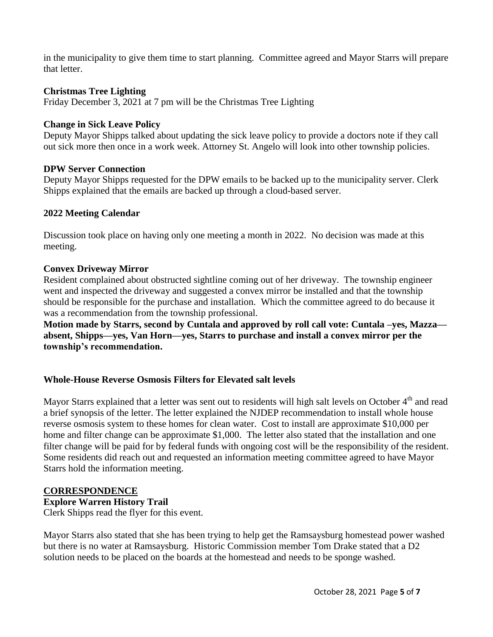in the municipality to give them time to start planning. Committee agreed and Mayor Starrs will prepare that letter.

### **Christmas Tree Lighting**

Friday December 3, 2021 at 7 pm will be the Christmas Tree Lighting

### **Change in Sick Leave Policy**

Deputy Mayor Shipps talked about updating the sick leave policy to provide a doctors note if they call out sick more then once in a work week. Attorney St. Angelo will look into other township policies.

### **DPW Server Connection**

Deputy Mayor Shipps requested for the DPW emails to be backed up to the municipality server. Clerk Shipps explained that the emails are backed up through a cloud-based server.

### **2022 Meeting Calendar**

Discussion took place on having only one meeting a month in 2022. No decision was made at this meeting.

#### **Convex Driveway Mirror**

Resident complained about obstructed sightline coming out of her driveway. The township engineer went and inspected the driveway and suggested a convex mirror be installed and that the township should be responsible for the purchase and installation. Which the committee agreed to do because it was a recommendation from the township professional.

**Motion made by Starrs, second by Cuntala and approved by roll call vote: Cuntala –yes, Mazza absent, Shipps—yes, Van Horn—yes, Starrs to purchase and install a convex mirror per the township's recommendation.** 

#### **Whole-House Reverse Osmosis Filters for Elevated salt levels**

Mayor Starrs explained that a letter was sent out to residents will high salt levels on October 4<sup>th</sup> and read a brief synopsis of the letter. The letter explained the NJDEP recommendation to install whole house reverse osmosis system to these homes for clean water. Cost to install are approximate \$10,000 per home and filter change can be approximate \$1,000. The letter also stated that the installation and one filter change will be paid for by federal funds with ongoing cost will be the responsibility of the resident. Some residents did reach out and requested an information meeting committee agreed to have Mayor Starrs hold the information meeting.

#### **CORRESPONDENCE**

#### **Explore Warren History Trail**

Clerk Shipps read the flyer for this event.

Mayor Starrs also stated that she has been trying to help get the Ramsaysburg homestead power washed but there is no water at Ramsaysburg. Historic Commission member Tom Drake stated that a D2 solution needs to be placed on the boards at the homestead and needs to be sponge washed.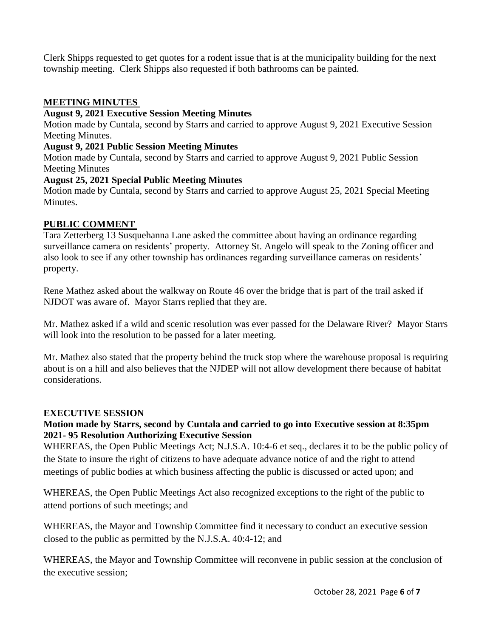Clerk Shipps requested to get quotes for a rodent issue that is at the municipality building for the next township meeting. Clerk Shipps also requested if both bathrooms can be painted.

# **MEETING MINUTES**

## **August 9, 2021 Executive Session Meeting Minutes**

Motion made by Cuntala, second by Starrs and carried to approve August 9, 2021 Executive Session Meeting Minutes.

## **August 9, 2021 Public Session Meeting Minutes**

Motion made by Cuntala, second by Starrs and carried to approve August 9, 2021 Public Session Meeting Minutes

# **August 25, 2021 Special Public Meeting Minutes**

Motion made by Cuntala, second by Starrs and carried to approve August 25, 2021 Special Meeting Minutes.

# **PUBLIC COMMENT**

Tara Zetterberg 13 Susquehanna Lane asked the committee about having an ordinance regarding surveillance camera on residents' property. Attorney St. Angelo will speak to the Zoning officer and also look to see if any other township has ordinances regarding surveillance cameras on residents' property.

Rene Mathez asked about the walkway on Route 46 over the bridge that is part of the trail asked if NJDOT was aware of. Mayor Starrs replied that they are.

Mr. Mathez asked if a wild and scenic resolution was ever passed for the Delaware River? Mayor Starrs will look into the resolution to be passed for a later meeting.

Mr. Mathez also stated that the property behind the truck stop where the warehouse proposal is requiring about is on a hill and also believes that the NJDEP will not allow development there because of habitat considerations.

## **EXECUTIVE SESSION**

# **Motion made by Starrs, second by Cuntala and carried to go into Executive session at 8:35pm 2021- 95 Resolution Authorizing Executive Session**

WHEREAS, the Open Public Meetings Act; N.J.S.A. 10:4-6 et seq., declares it to be the public policy of the State to insure the right of citizens to have adequate advance notice of and the right to attend meetings of public bodies at which business affecting the public is discussed or acted upon; and

WHEREAS, the Open Public Meetings Act also recognized exceptions to the right of the public to attend portions of such meetings; and

WHEREAS, the Mayor and Township Committee find it necessary to conduct an executive session closed to the public as permitted by the N.J.S.A. 40:4-12; and

WHEREAS, the Mayor and Township Committee will reconvene in public session at the conclusion of the executive session;